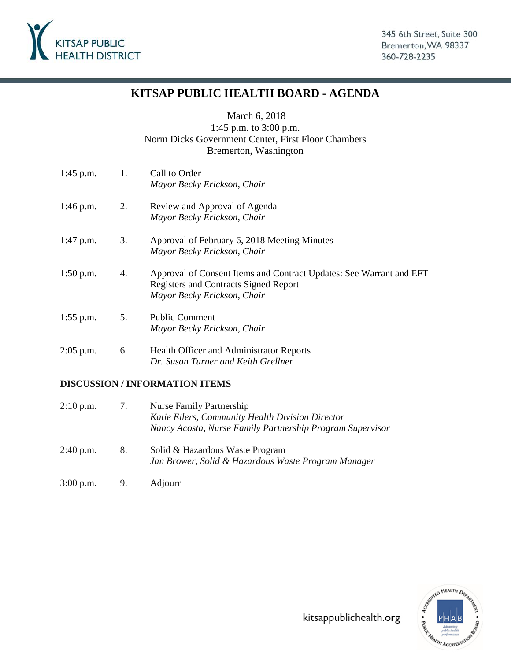

# **KITSAP PUBLIC HEALTH BOARD - AGENDA**

March 6, 2018

# 1:45 p.m. to 3:00 p.m. Norm Dicks Government Center, First Floor Chambers Bremerton, Washington

| $1:45$ p.m. | 1. | Call to Order<br>Mayor Becky Erickson, Chair                                                                                                       |
|-------------|----|----------------------------------------------------------------------------------------------------------------------------------------------------|
| $1:46$ p.m. | 2. | Review and Approval of Agenda<br>Mayor Becky Erickson, Chair                                                                                       |
| $1:47$ p.m. | 3. | Approval of February 6, 2018 Meeting Minutes<br>Mayor Becky Erickson, Chair                                                                        |
| $1:50$ p.m. | 4. | Approval of Consent Items and Contract Updates: See Warrant and EFT<br><b>Registers and Contracts Signed Report</b><br>Mayor Becky Erickson, Chair |
| $1:55$ p.m. | 5. | <b>Public Comment</b><br>Mayor Becky Erickson, Chair                                                                                               |
| $2:05$ p.m. | 6. | Health Officer and Administrator Reports<br>Dr. Susan Turner and Keith Grellner                                                                    |

# **DISCUSSION / INFORMATION ITEMS**

| $2:10$ p.m. | 7. | Nurse Family Partnership<br>Katie Eilers, Community Health Division Director<br>Nancy Acosta, Nurse Family Partnership Program Supervisor |
|-------------|----|-------------------------------------------------------------------------------------------------------------------------------------------|
| 2:40 p.m.   | 8. | Solid & Hazardous Waste Program<br>Jan Brower, Solid & Hazardous Waste Program Manager                                                    |

3:00 p.m. 9. Adjourn

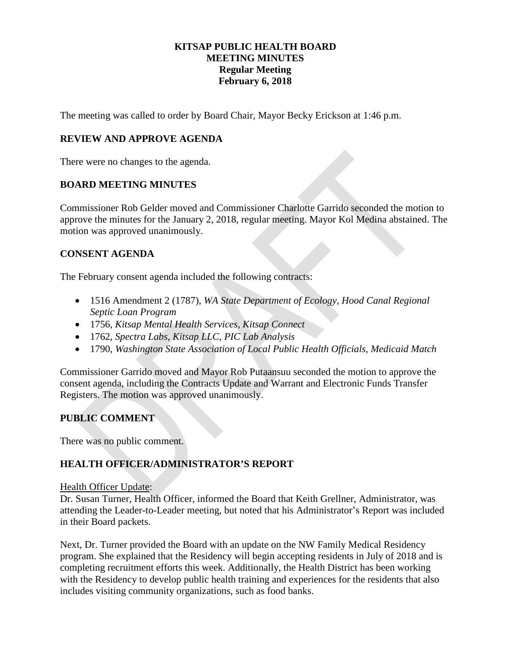# **KITSAP PUBLIC HEALTH BOARD MEETING MINUTES Regular Meeting February 6, 2018**

The meeting was called to order by Board Chair, Mayor Becky Erickson at 1:46 p.m.

# **REVIEW AND APPROVE AGENDA**

There were no changes to the agenda.

### **BOARD MEETING MINUTES**

Commissioner Rob Gelder moved and Commissioner Charlotte Garrido seconded the motion to approve the minutes for the January 2, 2018, regular meeting. Mayor Kol Medina abstained. The motion was approved unanimously.

# **CONSENT AGENDA**

The February consent agenda included the following contracts:

- 1516 Amendment 2 (1787), *WA State Department of Ecology, Hood Canal Regional Septic Loan Program*
- 1756, *Kitsap Mental Health Services, Kitsap Connect*
- 1762, *Spectra Labs, Kitsap LLC, PIC Lab Analysis*
- 1790, *Washington State Association of Local Public Health Officials, Medicaid Match*

Commissioner Garrido moved and Mayor Rob Putaansuu seconded the motion to approve the consent agenda, including the Contracts Update and Warrant and Electronic Funds Transfer Registers. The motion was approved unanimously.

# **PUBLIC COMMENT**

There was no public comment.

# **HEALTH OFFICER/ADMINISTRATOR'S REPORT**

#### Health Officer Update:

Dr. Susan Turner, Health Officer, informed the Board that Keith Grellner, Administrator, was attending the Leader-to-Leader meeting, but noted that his Administrator's Report was included in their Board packets.

Next, Dr. Turner provided the Board with an update on the NW Family Medical Residency program. She explained that the Residency will begin accepting residents in July of 2018 and is completing recruitment efforts this week. Additionally, the Health District has been working with the Residency to develop public health training and experiences for the residents that also includes visiting community organizations, such as food banks.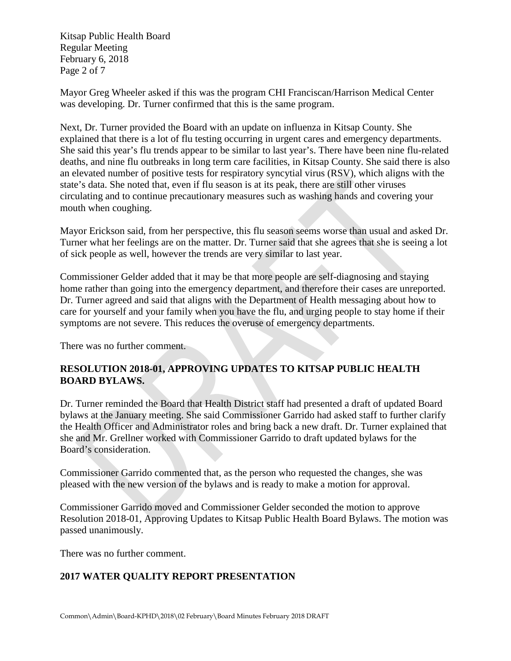Kitsap Public Health Board Regular Meeting February 6, 2018 Page 2 of 7

Mayor Greg Wheeler asked if this was the program CHI Franciscan/Harrison Medical Center was developing. Dr. Turner confirmed that this is the same program.

Next, Dr. Turner provided the Board with an update on influenza in Kitsap County. She explained that there is a lot of flu testing occurring in urgent cares and emergency departments. She said this year's flu trends appear to be similar to last year's. There have been nine flu-related deaths, and nine flu outbreaks in long term care facilities, in Kitsap County. She said there is also an elevated number of positive tests for respiratory syncytial virus (RSV), which aligns with the state's data. She noted that, even if flu season is at its peak, there are still other viruses circulating and to continue precautionary measures such as washing hands and covering your mouth when coughing.

Mayor Erickson said, from her perspective, this flu season seems worse than usual and asked Dr. Turner what her feelings are on the matter. Dr. Turner said that she agrees that she is seeing a lot of sick people as well, however the trends are very similar to last year.

Commissioner Gelder added that it may be that more people are self-diagnosing and staying home rather than going into the emergency department, and therefore their cases are unreported. Dr. Turner agreed and said that aligns with the Department of Health messaging about how to care for yourself and your family when you have the flu, and urging people to stay home if their symptoms are not severe. This reduces the overuse of emergency departments.

There was no further comment.

# **RESOLUTION 2018-01, APPROVING UPDATES TO KITSAP PUBLIC HEALTH BOARD BYLAWS.**

Dr. Turner reminded the Board that Health District staff had presented a draft of updated Board bylaws at the January meeting. She said Commissioner Garrido had asked staff to further clarify the Health Officer and Administrator roles and bring back a new draft. Dr. Turner explained that she and Mr. Grellner worked with Commissioner Garrido to draft updated bylaws for the Board's consideration.

Commissioner Garrido commented that, as the person who requested the changes, she was pleased with the new version of the bylaws and is ready to make a motion for approval.

Commissioner Garrido moved and Commissioner Gelder seconded the motion to approve Resolution 2018-01, Approving Updates to Kitsap Public Health Board Bylaws. The motion was passed unanimously.

There was no further comment.

# **2017 WATER QUALITY REPORT PRESENTATION**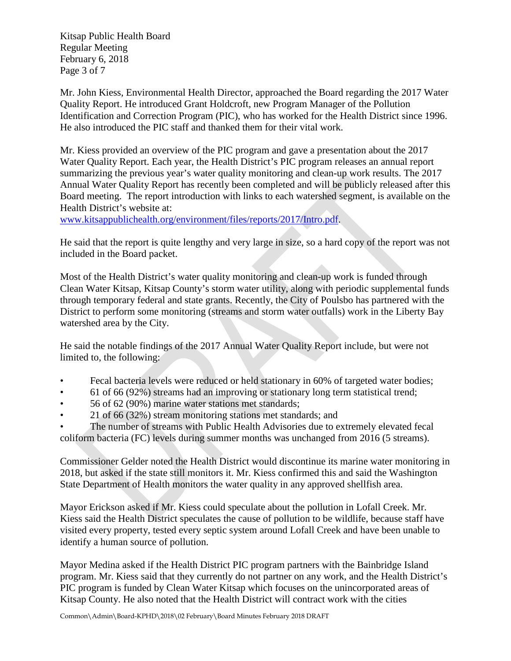Kitsap Public Health Board Regular Meeting February 6, 2018 Page 3 of 7

Mr. John Kiess, Environmental Health Director, approached the Board regarding the 2017 Water Quality Report. He introduced Grant Holdcroft, new Program Manager of the Pollution Identification and Correction Program (PIC), who has worked for the Health District since 1996. He also introduced the PIC staff and thanked them for their vital work.

Mr. Kiess provided an overview of the PIC program and gave a presentation about the 2017 Water Quality Report. Each year, the Health District's PIC program releases an annual report summarizing the previous year's water quality monitoring and clean-up work results. The 2017 Annual Water Quality Report has recently been completed and will be publicly released after this Board meeting. The report introduction with links to each watershed segment, is available on the Health District's website at:

www.kitsappublichealth.org/environment/files/reports/2017/Intro.pdf.

He said that the report is quite lengthy and very large in size, so a hard copy of the report was not included in the Board packet.

Most of the Health District's water quality monitoring and clean-up work is funded through Clean Water Kitsap, Kitsap County's storm water utility, along with periodic supplemental funds through temporary federal and state grants. Recently, the City of Poulsbo has partnered with the District to perform some monitoring (streams and storm water outfalls) work in the Liberty Bay watershed area by the City.

He said the notable findings of the 2017 Annual Water Quality Report include, but were not limited to, the following:

- Fecal bacteria levels were reduced or held stationary in 60% of targeted water bodies;
- 61 of 66 (92%) streams had an improving or stationary long term statistical trend;
- 56 of 62 (90%) marine water stations met standards;
- 21 of 66 (32%) stream monitoring stations met standards; and

The number of streams with Public Health Advisories due to extremely elevated fecal coliform bacteria (FC) levels during summer months was unchanged from 2016 (5 streams).

Commissioner Gelder noted the Health District would discontinue its marine water monitoring in 2018, but asked if the state still monitors it. Mr. Kiess confirmed this and said the Washington State Department of Health monitors the water quality in any approved shellfish area.

Mayor Erickson asked if Mr. Kiess could speculate about the pollution in Lofall Creek. Mr. Kiess said the Health District speculates the cause of pollution to be wildlife, because staff have visited every property, tested every septic system around Lofall Creek and have been unable to identify a human source of pollution.

Mayor Medina asked if the Health District PIC program partners with the Bainbridge Island program. Mr. Kiess said that they currently do not partner on any work, and the Health District's PIC program is funded by Clean Water Kitsap which focuses on the unincorporated areas of Kitsap County. He also noted that the Health District will contract work with the cities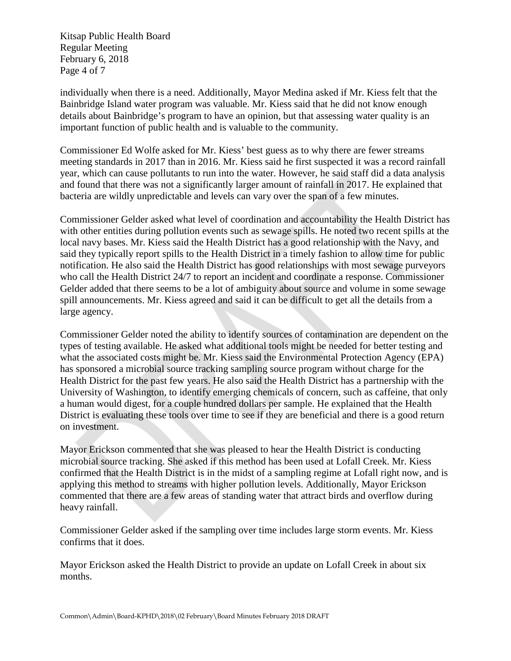Kitsap Public Health Board Regular Meeting February 6, 2018 Page 4 of 7

individually when there is a need. Additionally, Mayor Medina asked if Mr. Kiess felt that the Bainbridge Island water program was valuable. Mr. Kiess said that he did not know enough details about Bainbridge's program to have an opinion, but that assessing water quality is an important function of public health and is valuable to the community.

Commissioner Ed Wolfe asked for Mr. Kiess' best guess as to why there are fewer streams meeting standards in 2017 than in 2016. Mr. Kiess said he first suspected it was a record rainfall year, which can cause pollutants to run into the water. However, he said staff did a data analysis and found that there was not a significantly larger amount of rainfall in 2017. He explained that bacteria are wildly unpredictable and levels can vary over the span of a few minutes.

Commissioner Gelder asked what level of coordination and accountability the Health District has with other entities during pollution events such as sewage spills. He noted two recent spills at the local navy bases. Mr. Kiess said the Health District has a good relationship with the Navy, and said they typically report spills to the Health District in a timely fashion to allow time for public notification. He also said the Health District has good relationships with most sewage purveyors who call the Health District 24/7 to report an incident and coordinate a response. Commissioner Gelder added that there seems to be a lot of ambiguity about source and volume in some sewage spill announcements. Mr. Kiess agreed and said it can be difficult to get all the details from a large agency.

Commissioner Gelder noted the ability to identify sources of contamination are dependent on the types of testing available. He asked what additional tools might be needed for better testing and what the associated costs might be. Mr. Kiess said the Environmental Protection Agency (EPA) has sponsored a microbial source tracking sampling source program without charge for the Health District for the past few years. He also said the Health District has a partnership with the University of Washington, to identify emerging chemicals of concern, such as caffeine, that only a human would digest, for a couple hundred dollars per sample. He explained that the Health District is evaluating these tools over time to see if they are beneficial and there is a good return on investment.

Mayor Erickson commented that she was pleased to hear the Health District is conducting microbial source tracking. She asked if this method has been used at Lofall Creek. Mr. Kiess confirmed that the Health District is in the midst of a sampling regime at Lofall right now, and is applying this method to streams with higher pollution levels. Additionally, Mayor Erickson commented that there are a few areas of standing water that attract birds and overflow during heavy rainfall.

Commissioner Gelder asked if the sampling over time includes large storm events. Mr. Kiess confirms that it does.

Mayor Erickson asked the Health District to provide an update on Lofall Creek in about six months.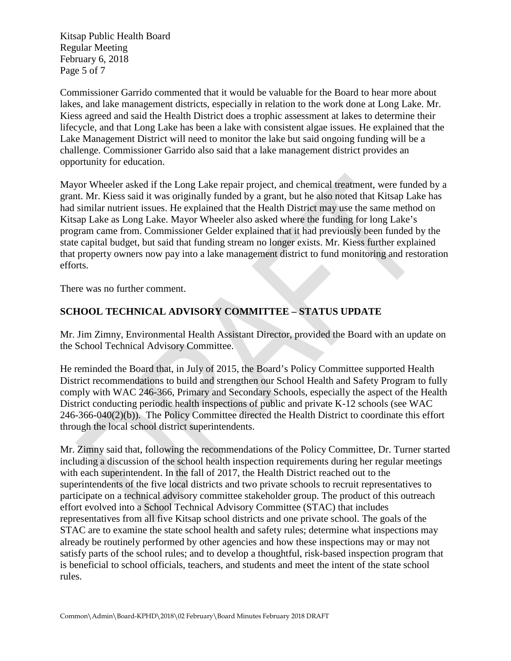Kitsap Public Health Board Regular Meeting February 6, 2018 Page 5 of 7

Commissioner Garrido commented that it would be valuable for the Board to hear more about lakes, and lake management districts, especially in relation to the work done at Long Lake. Mr. Kiess agreed and said the Health District does a trophic assessment at lakes to determine their lifecycle, and that Long Lake has been a lake with consistent algae issues. He explained that the Lake Management District will need to monitor the lake but said ongoing funding will be a challenge. Commissioner Garrido also said that a lake management district provides an opportunity for education.

Mayor Wheeler asked if the Long Lake repair project, and chemical treatment, were funded by a grant. Mr. Kiess said it was originally funded by a grant, but he also noted that Kitsap Lake has had similar nutrient issues. He explained that the Health District may use the same method on Kitsap Lake as Long Lake. Mayor Wheeler also asked where the funding for long Lake's program came from. Commissioner Gelder explained that it had previously been funded by the state capital budget, but said that funding stream no longer exists. Mr. Kiess further explained that property owners now pay into a lake management district to fund monitoring and restoration efforts.

There was no further comment.

# **SCHOOL TECHNICAL ADVISORY COMMITTEE – STATUS UPDATE**

Mr. Jim Zimny, Environmental Health Assistant Director, provided the Board with an update on the School Technical Advisory Committee.

He reminded the Board that, in July of 2015, the Board's Policy Committee supported Health District recommendations to build and strengthen our School Health and Safety Program to fully comply with WAC 246-366, Primary and Secondary Schools, especially the aspect of the Health District conducting periodic health inspections of public and private K-12 schools (see WAC 246-366-040(2)(b)). The Policy Committee directed the Health District to coordinate this effort through the local school district superintendents.

Mr. Zimny said that, following the recommendations of the Policy Committee, Dr. Turner started including a discussion of the school health inspection requirements during her regular meetings with each superintendent. In the fall of 2017, the Health District reached out to the superintendents of the five local districts and two private schools to recruit representatives to participate on a technical advisory committee stakeholder group. The product of this outreach effort evolved into a School Technical Advisory Committee (STAC) that includes representatives from all five Kitsap school districts and one private school. The goals of the STAC are to examine the state school health and safety rules; determine what inspections may already be routinely performed by other agencies and how these inspections may or may not satisfy parts of the school rules; and to develop a thoughtful, risk-based inspection program that is beneficial to school officials, teachers, and students and meet the intent of the state school rules.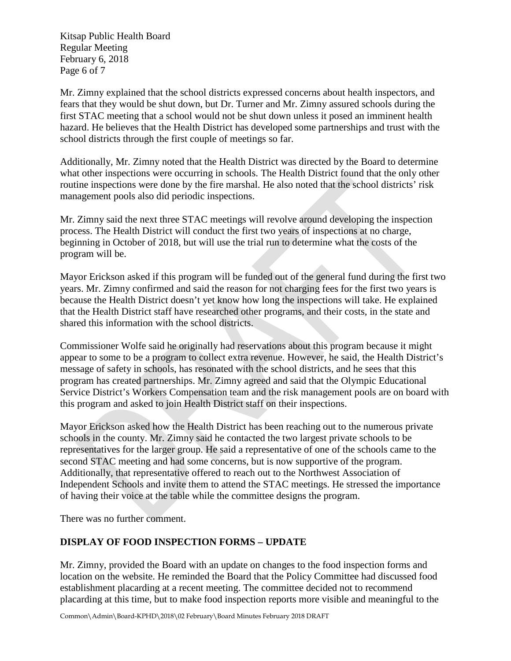Kitsap Public Health Board Regular Meeting February 6, 2018 Page 6 of 7

Mr. Zimny explained that the school districts expressed concerns about health inspectors, and fears that they would be shut down, but Dr. Turner and Mr. Zimny assured schools during the first STAC meeting that a school would not be shut down unless it posed an imminent health hazard. He believes that the Health District has developed some partnerships and trust with the school districts through the first couple of meetings so far.

Additionally, Mr. Zimny noted that the Health District was directed by the Board to determine what other inspections were occurring in schools. The Health District found that the only other routine inspections were done by the fire marshal. He also noted that the school districts' risk management pools also did periodic inspections.

Mr. Zimny said the next three STAC meetings will revolve around developing the inspection process. The Health District will conduct the first two years of inspections at no charge, beginning in October of 2018, but will use the trial run to determine what the costs of the program will be.

Mayor Erickson asked if this program will be funded out of the general fund during the first two years. Mr. Zimny confirmed and said the reason for not charging fees for the first two years is because the Health District doesn't yet know how long the inspections will take. He explained that the Health District staff have researched other programs, and their costs, in the state and shared this information with the school districts.

Commissioner Wolfe said he originally had reservations about this program because it might appear to some to be a program to collect extra revenue. However, he said, the Health District's message of safety in schools, has resonated with the school districts, and he sees that this program has created partnerships. Mr. Zimny agreed and said that the Olympic Educational Service District's Workers Compensation team and the risk management pools are on board with this program and asked to join Health District staff on their inspections.

Mayor Erickson asked how the Health District has been reaching out to the numerous private schools in the county. Mr. Zimny said he contacted the two largest private schools to be representatives for the larger group. He said a representative of one of the schools came to the second STAC meeting and had some concerns, but is now supportive of the program. Additionally, that representative offered to reach out to the Northwest Association of Independent Schools and invite them to attend the STAC meetings. He stressed the importance of having their voice at the table while the committee designs the program.

There was no further comment.

# **DISPLAY OF FOOD INSPECTION FORMS – UPDATE**

Mr. Zimny, provided the Board with an update on changes to the food inspection forms and location on the website. He reminded the Board that the Policy Committee had discussed food establishment placarding at a recent meeting. The committee decided not to recommend placarding at this time, but to make food inspection reports more visible and meaningful to the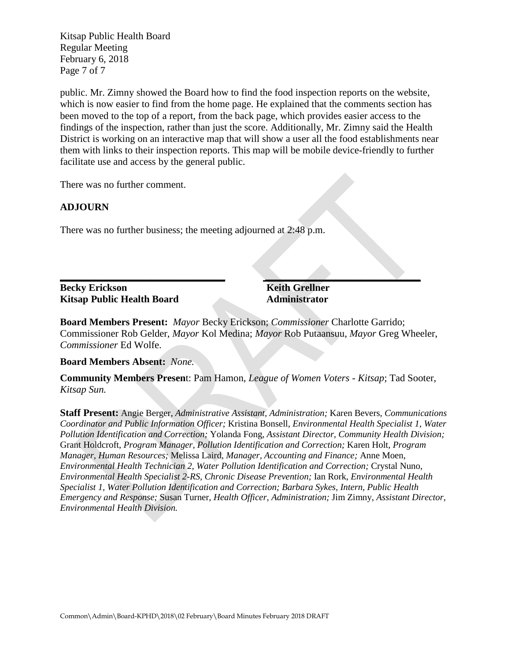Kitsap Public Health Board Regular Meeting February 6, 2018 Page 7 of 7

public. Mr. Zimny showed the Board how to find the food inspection reports on the website, which is now easier to find from the home page. He explained that the comments section has been moved to the top of a report, from the back page, which provides easier access to the findings of the inspection, rather than just the score. Additionally, Mr. Zimny said the Health District is working on an interactive map that will show a user all the food establishments near them with links to their inspection reports. This map will be mobile device-friendly to further facilitate use and access by the general public.

There was no further comment.

### **ADJOURN**

There was no further business; the meeting adjourned at 2:48 p.m.

#### **\_\_\_\_\_\_\_\_\_\_\_\_\_\_\_\_\_\_\_\_\_\_\_\_\_\_\_\_\_\_\_\_\_ \_\_\_\_\_\_\_\_\_\_\_\_\_\_\_\_\_\_\_\_\_\_\_\_\_\_\_\_\_\_\_ Becky Erickson Keith Grellner Kitsap Public Health Board Administrator**

**Board Members Present:** *Mayor* Becky Erickson; *Commissioner* Charlotte Garrido; Commissioner Rob Gelder, *Mayor* Kol Medina; *Mayor* Rob Putaansuu, *Mayor* Greg Wheeler, *Commissioner* Ed Wolfe.

**Board Members Absent:** *None.*

**Community Members Presen**t: Pam Hamon, *League of Women Voters - Kitsap*; Tad Sooter, *Kitsap Sun.*

**Staff Present:** Angie Berger, *Administrative Assistant, Administration;* Karen Bevers, *Communications Coordinator and Public Information Officer;* Kristina Bonsell, *Environmental Health Specialist 1, Water Pollution Identification and Correction;* Yolanda Fong, *Assistant Director, Community Health Division;* Grant Holdcroft, *Program Manager, Pollution Identification and Correction;* Karen Holt, *Program Manager, Human Resources;* Melissa Laird, *Manager, Accounting and Finance;* Anne Moen, *Environmental Health Technician 2, Water Pollution Identification and Correction;* Crystal Nuno, *Environmental Health Specialist 2-RS, Chronic Disease Prevention;* Ian Rork, *Environmental Health Specialist 1, Water Pollution Identification and Correction; Barbara Sykes, Intern, Public Health Emergency and Response;* Susan Turner, *Health Officer, Administration;* Jim Zimny, *Assistant Director, Environmental Health Division.*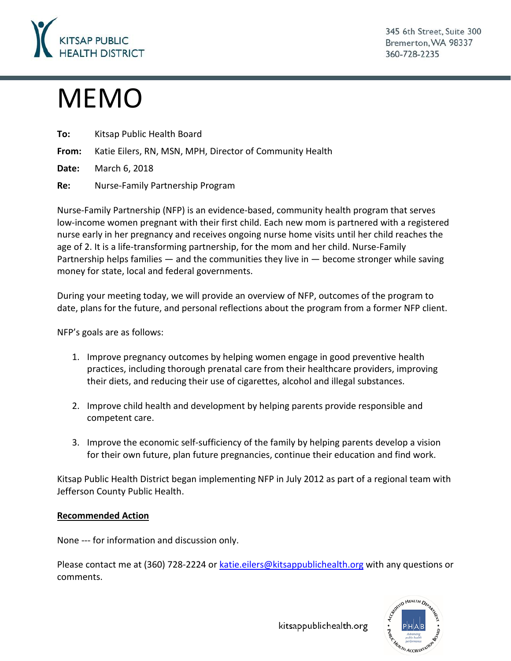

345 6th Street, Suite 300 Bremerton, WA 98337 360-728-2235

# MEMO

| To: | Kitsap Public Health Board |
|-----|----------------------------|
|-----|----------------------------|

**From:** Katie Eilers, RN, MSN, MPH, Director of Community Health

**Date:** March 6, 2018

**Re:** Nurse-Family Partnership Program

Nurse-Family Partnership (NFP) is an evidence-based, community health program that serves low-income women pregnant with their first child. Each new mom is partnered with a registered nurse early in her pregnancy and receives ongoing nurse home visits until her child reaches the age of 2. It is a life-transforming partnership, for the mom and her child. Nurse-Family Partnership helps families — and the communities they live in — become stronger while saving money for state, local and federal governments.

During your meeting today, we will provide an overview of NFP, outcomes of the program to date, plans for the future, and personal reflections about the program from a former NFP client.

NFP's goals are as follows:

- 1. Improve pregnancy outcomes by helping women engage in good preventive health practices, including thorough prenatal care from their healthcare providers, improving their diets, and reducing their use of cigarettes, alcohol and illegal substances.
- 2. Improve child health and development by helping parents provide responsible and competent care.
- 3. Improve the economic self-sufficiency of the family by helping parents develop a vision for their own future, plan future pregnancies, continue their education and find work.

Kitsap Public Health District began implementing NFP in July 2012 as part of a regional team with Jefferson County Public Health.

# **Recommended Action**

None --- for information and discussion only.

Please contact me at (360) 728-2224 or [katie.eilers@kitsappublichealth.org](mailto:katie.eilers@kitsappublichealth.org) with any questions or comments.



kitsappublichealth.org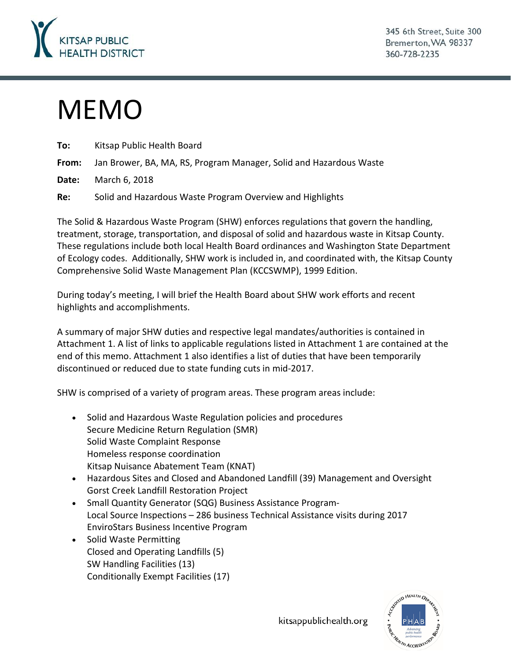

# MEMO

| To:   | Kitsap Public Health Board                                         |
|-------|--------------------------------------------------------------------|
| From: | Jan Brower, BA, MA, RS, Program Manager, Solid and Hazardous Waste |
| Date: | March 6, 2018                                                      |
| Re:   | Solid and Hazardous Waste Program Overview and Highlights          |

The Solid & Hazardous Waste Program (SHW) enforces regulations that govern the handling, treatment, storage, transportation, and disposal of solid and hazardous waste in Kitsap County. These regulations include both local Health Board ordinances and Washington State Department of Ecology codes. Additionally, SHW work is included in, and coordinated with, the Kitsap County Comprehensive Solid Waste Management Plan (KCCSWMP), 1999 Edition.

During today's meeting, I will brief the Health Board about SHW work efforts and recent highlights and accomplishments.

A summary of major SHW duties and respective legal mandates/authorities is contained in Attachment 1. A list of links to applicable regulations listed in Attachment 1 are contained at the end of this memo. Attachment 1 also identifies a list of duties that have been temporarily discontinued or reduced due to state funding cuts in mid-2017.

SHW is comprised of a variety of program areas. These program areas include:

- Solid and Hazardous Waste Regulation policies and procedures Secure Medicine Return Regulation (SMR) Solid Waste Complaint Response Homeless response coordination Kitsap Nuisance Abatement Team (KNAT)
- Hazardous Sites and Closed and Abandoned Landfill (39) Management and Oversight Gorst Creek Landfill Restoration Project
- Small Quantity Generator (SQG) Business Assistance Program-Local Source Inspections – 286 business Technical Assistance visits during 2017 EnviroStars Business Incentive Program
- Solid Waste Permitting Closed and Operating Landfills (5) SW Handling Facilities (13) Conditionally Exempt Facilities (17)



kitsappublichealth.org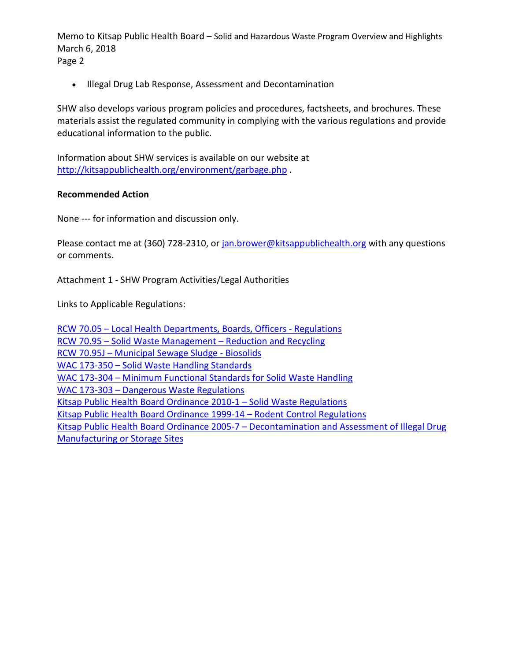Memo to Kitsap Public Health Board – Solid and Hazardous Waste Program Overview and Highlights March 6, 2018 Page 2

• Illegal Drug Lab Response, Assessment and Decontamination

SHW also develops various program policies and procedures, factsheets, and brochures. These materials assist the regulated community in complying with the various regulations and provide educational information to the public.

Information about SHW services is available on our website at <http://kitsappublichealth.org/environment/garbage.php> .

#### **Recommended Action**

None --- for information and discussion only.

Please contact me at (360) 728-2310, or [jan.brower@kitsappublichealth.org](mailto:jan.brower@kitsappublichealth.org) with any questions or comments.

Attachment 1 - SHW Program Activities/Legal Authorities

Links to Applicable Regulations:

RCW 70.05 – [Local Health Departments, Boards, Officers -](http://apps.leg.wa.gov/RCW/default.aspx?cite=70.05) Regulations RCW 70.95 – [Solid Waste Management –](http://apps.leg.wa.gov/RCW/default.aspx?cite=70.95) Reduction and Recycling RCW 70.95J – [Municipal Sewage Sludge -](http://app.leg.wa.gov/rcw/default.aspx?cite=70.95J) Biosolids WAC 173-350 – [Solid Waste Handling Standards](http://apps.leg.wa.gov/WAC/default.aspx?cite=173-350) WAC 173-304 – [Minimum Functional Standards for Solid Waste Handling](http://apps.leg.wa.gov/WAC/default.aspx?cite=173-304) WAC 173-303 – [Dangerous Waste Regulations](http://apps.leg.wa.gov/WAC/default.aspx?cite=173-303) [Kitsap Public Health Board Ordinance 2010-1 –](http://kitsappublichealth.org/environment/files/regulations/swregs.pdf) Solid Waste Regulations [Kitsap Public Health Board Ordinance 1999-14 –](http://kitsappublichealth.org/environment/files/regulations/rodent_regs.pdf) Rodent Control Regulations Kitsap Public Health Board Ordinance 2005-7 – [Decontamination and Assessment of Illegal Drug](http://kitsappublichealth.org/environment/files/regulations/drug_lab_ordinance.pdf)  [Manufacturing or Storage Sites](http://kitsappublichealth.org/environment/files/regulations/drug_lab_ordinance.pdf)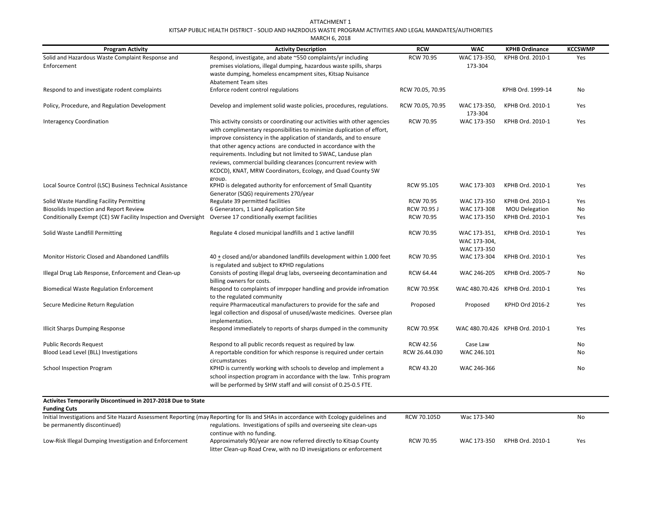#### ATTACHMENT 1KITSAP PUBLIC HEALTH DISTRICT - SOLID AND HAZRDOUS WASTE PROGRAM ACTIVITIES AND LEGAL MANDATES/AUTHORITIES

| MARCH 6, 2018                                                  |                                                                                                                                                                                                                                                                                                                                                                                                                                                                                                |                   |                                             |                                 |                |  |  |
|----------------------------------------------------------------|------------------------------------------------------------------------------------------------------------------------------------------------------------------------------------------------------------------------------------------------------------------------------------------------------------------------------------------------------------------------------------------------------------------------------------------------------------------------------------------------|-------------------|---------------------------------------------|---------------------------------|----------------|--|--|
| <b>Program Activity</b>                                        | <b>Activity Description</b>                                                                                                                                                                                                                                                                                                                                                                                                                                                                    | <b>RCW</b>        | <b>WAC</b>                                  | <b>KPHB Ordinance</b>           | <b>KCCSWMP</b> |  |  |
| Solid and Hazardous Waste Complaint Response and               | Respond, investigate, and abate ~550 complaints/yr including                                                                                                                                                                                                                                                                                                                                                                                                                                   | <b>RCW 70.95</b>  | WAC 173-350,                                | KPHB Ord. 2010-1                | Yes            |  |  |
| Enforcement                                                    | premises violations, illegal dumping, hazardous waste spills, sharps                                                                                                                                                                                                                                                                                                                                                                                                                           |                   | 173-304                                     |                                 |                |  |  |
|                                                                | waste dumping, homeless encampment sites, Kitsap Nuisance                                                                                                                                                                                                                                                                                                                                                                                                                                      |                   |                                             |                                 |                |  |  |
|                                                                | Abatement Team sites                                                                                                                                                                                                                                                                                                                                                                                                                                                                           |                   |                                             |                                 |                |  |  |
| Respond to and investigate rodent complaints                   | Enforce rodent control regulations                                                                                                                                                                                                                                                                                                                                                                                                                                                             | RCW 70.05, 70.95  |                                             | KPHB Ord. 1999-14               | No             |  |  |
| Policy, Procedure, and Regulation Development                  | Develop and implement solid waste policies, procedures, regulations.                                                                                                                                                                                                                                                                                                                                                                                                                           | RCW 70.05, 70.95  | WAC 173-350,<br>173-304                     | KPHB Ord. 2010-1                | Yes            |  |  |
| <b>Interagency Coordination</b>                                | This activity consists or coordinating our activities with other agencies<br>with complimentary responsibilities to minimize duplication of effort,<br>improve consistency in the application of standards, and to ensure<br>that other agency actions are conducted in accordance with the<br>requirements. Including but not limited to SWAC, Landuse plan<br>reviews, commercial building clearances (concurrent review with<br>KCDCD), KNAT, MRW Coordinators, Ecology, and Quad County SW | <b>RCW 70.95</b>  | WAC 173-350                                 | KPHB Ord. 2010-1                | Yes            |  |  |
| Local Source Control (LSC) Business Technical Assistance       | group.<br>KPHD is delegated authority for enforcement of Small Quantity<br>Generator (SQG) requirements 270/year                                                                                                                                                                                                                                                                                                                                                                               | RCW 95.105        | WAC 173-303                                 | KPHB Ord. 2010-1                | Yes            |  |  |
| Solid Waste Handling Facility Permitting                       | Regulate 39 permitted facilities                                                                                                                                                                                                                                                                                                                                                                                                                                                               | <b>RCW 70.95</b>  | WAC 173-350                                 | KPHB Ord. 2010-1                | Yes            |  |  |
| <b>Biosolids Inspection and Report Review</b>                  | 6 Generators, 1 Land Application Site                                                                                                                                                                                                                                                                                                                                                                                                                                                          | RCW 70.95 J       | WAC 173-308                                 | <b>MOU Delegation</b>           | No             |  |  |
| Conditionally Exempt (CE) SW Facility Inspection and Oversight | Oversee 17 conditionally exempt facilities                                                                                                                                                                                                                                                                                                                                                                                                                                                     | <b>RCW 70.95</b>  | WAC 173-350                                 | KPHB Ord. 2010-1                | Yes            |  |  |
| Solid Waste Landfill Permitting                                | Regulate 4 closed municipal landfills and 1 active landfill                                                                                                                                                                                                                                                                                                                                                                                                                                    | <b>RCW 70.95</b>  | WAC 173-351,<br>WAC 173-304,<br>WAC 173-350 | KPHB Ord. 2010-1                | Yes            |  |  |
| Monitor Historic Closed and Abandoned Landfills                | 40 + closed and/or abandoned landfills development within 1.000 feet<br>is regulated and subject to KPHD regulations                                                                                                                                                                                                                                                                                                                                                                           | <b>RCW 70.95</b>  | WAC 173-304                                 | KPHB Ord. 2010-1                | Yes            |  |  |
| Illegal Drug Lab Response, Enforcement and Clean-up            | Consists of posting illegal drug labs, overseeing decontamination and<br>billing owners for costs.                                                                                                                                                                                                                                                                                                                                                                                             | RCW 64.44         | WAC 246-205                                 | KPHB Ord. 2005-7                | No             |  |  |
| <b>Biomedical Waste Regulation Enforcement</b>                 | Respond to complaints of imrpoper handling and provide infromation<br>to the regulated community                                                                                                                                                                                                                                                                                                                                                                                               | <b>RCW 70.95K</b> |                                             | WAC 480.70.426 KPHB Ord. 2010-1 | Yes            |  |  |
| Secure Medicine Return Regulation                              | require Pharmaceutical manufacturers to provide for the safe and<br>legal collection and disposal of unused/waste medicines. Oversee plan<br>implementation.                                                                                                                                                                                                                                                                                                                                   | Proposed          | Proposed                                    | KPHD Ord 2016-2                 | Yes            |  |  |
| Illicit Sharps Dumping Response                                | Respond immediately to reports of sharps dumped in the community                                                                                                                                                                                                                                                                                                                                                                                                                               | <b>RCW 70.95K</b> |                                             | WAC 480.70.426 KPHB Ord. 2010-1 | Yes            |  |  |
| <b>Public Records Request</b>                                  | Respond to all public records request as required by law.                                                                                                                                                                                                                                                                                                                                                                                                                                      | RCW 42.56         | Case Law                                    |                                 | No             |  |  |
| Blood Lead Level (BLL) Investigations                          | A reportable condition for which response is required under certain<br>circumstances                                                                                                                                                                                                                                                                                                                                                                                                           | RCW 26.44.030     | WAC 246.101                                 |                                 | No             |  |  |
| <b>School Inspection Program</b>                               | KPHD is currently working with schools to develop and implement a<br>school inspection program in accordance with the law. Tnhis program<br>will be performed by SHW staff and will consist of 0.25-0.5 FTE.                                                                                                                                                                                                                                                                                   | RCW 43.20         | WAC 246-366                                 |                                 | No             |  |  |
| Activites Temporarily Discontinued in 2017-2018 Due to State   |                                                                                                                                                                                                                                                                                                                                                                                                                                                                                                |                   |                                             |                                 |                |  |  |
| <b>Funding Cuts</b>                                            | Initial Investigations and Site Hazard Assessment Reporting (may Reporting for IIs and SHAs in accordance with Ecology guidelines and                                                                                                                                                                                                                                                                                                                                                          | RCW 70.105D       | Wac 173-340                                 |                                 | No             |  |  |
| be permanently discontinued)                                   | regulations. Investigations of spills and overseeing site clean-ups<br>continue with no funding.                                                                                                                                                                                                                                                                                                                                                                                               |                   |                                             |                                 |                |  |  |

litter Clean-up Road Crew, with no ID invesigations or enforcement

RCW 70.95 WAC 173-350 KPHB Ord. 2010-1 Yes

Low-Risk Illegal Dumping Investigation and Enforcement **Approximately 90/year are now referred directly** to Kitsap County